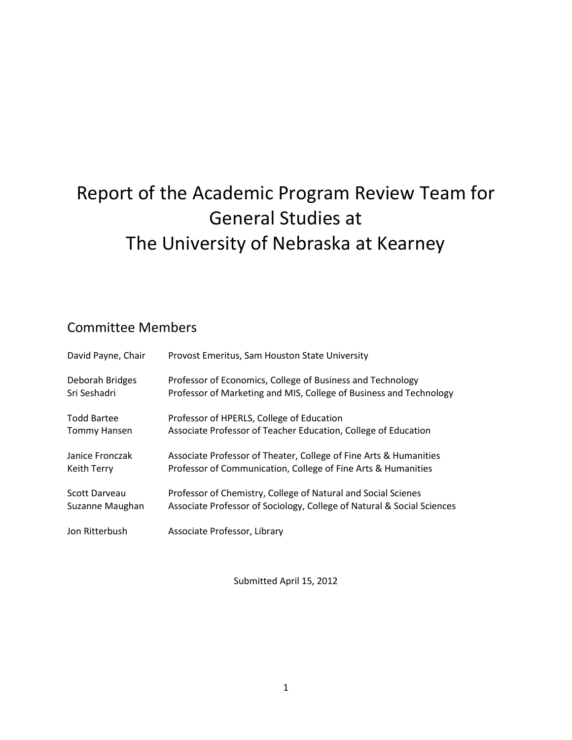# Report of the Academic Program Review Team for General Studies at The University of Nebraska at Kearney

## Committee Members

| David Payne, Chair  | Provost Emeritus, Sam Houston State University                         |
|---------------------|------------------------------------------------------------------------|
| Deborah Bridges     | Professor of Economics, College of Business and Technology             |
| Sri Seshadri        | Professor of Marketing and MIS, College of Business and Technology     |
| <b>Todd Bartee</b>  | Professor of HPERLS, College of Education                              |
| <b>Tommy Hansen</b> | Associate Professor of Teacher Education, College of Education         |
| Janice Fronczak     | Associate Professor of Theater, College of Fine Arts & Humanities      |
| Keith Terry         | Professor of Communication, College of Fine Arts & Humanities          |
| Scott Darveau       | Professor of Chemistry, College of Natural and Social Scienes          |
| Suzanne Maughan     | Associate Professor of Sociology, College of Natural & Social Sciences |
| Jon Ritterbush      | Associate Professor, Library                                           |

Submitted April 15, 2012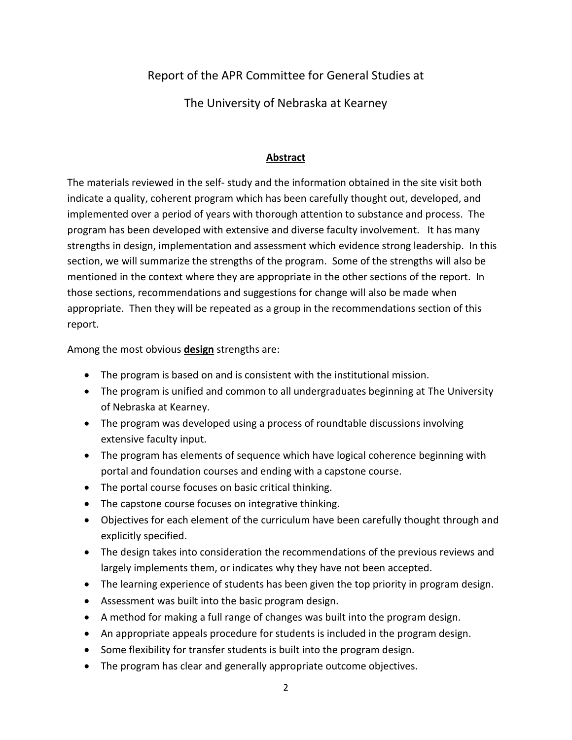Report of the APR Committee for General Studies at

The University of Nebraska at Kearney

#### **Abstract**

The materials reviewed in the self- study and the information obtained in the site visit both indicate a quality, coherent program which has been carefully thought out, developed, and implemented over a period of years with thorough attention to substance and process. The program has been developed with extensive and diverse faculty involvement. It has many strengths in design, implementation and assessment which evidence strong leadership. In this section, we will summarize the strengths of the program. Some of the strengths will also be mentioned in the context where they are appropriate in the other sections of the report. In those sections, recommendations and suggestions for change will also be made when appropriate. Then they will be repeated as a group in the recommendations section of this report.

Among the most obvious **design** strengths are:

- The program is based on and is consistent with the institutional mission.
- The program is unified and common to all undergraduates beginning at The University of Nebraska at Kearney.
- The program was developed using a process of roundtable discussions involving extensive faculty input.
- The program has elements of sequence which have logical coherence beginning with portal and foundation courses and ending with a capstone course.
- The portal course focuses on basic critical thinking.
- The capstone course focuses on integrative thinking.
- Objectives for each element of the curriculum have been carefully thought through and explicitly specified.
- The design takes into consideration the recommendations of the previous reviews and largely implements them, or indicates why they have not been accepted.
- The learning experience of students has been given the top priority in program design.
- Assessment was built into the basic program design.
- A method for making a full range of changes was built into the program design.
- An appropriate appeals procedure for students is included in the program design.
- Some flexibility for transfer students is built into the program design.
- The program has clear and generally appropriate outcome objectives.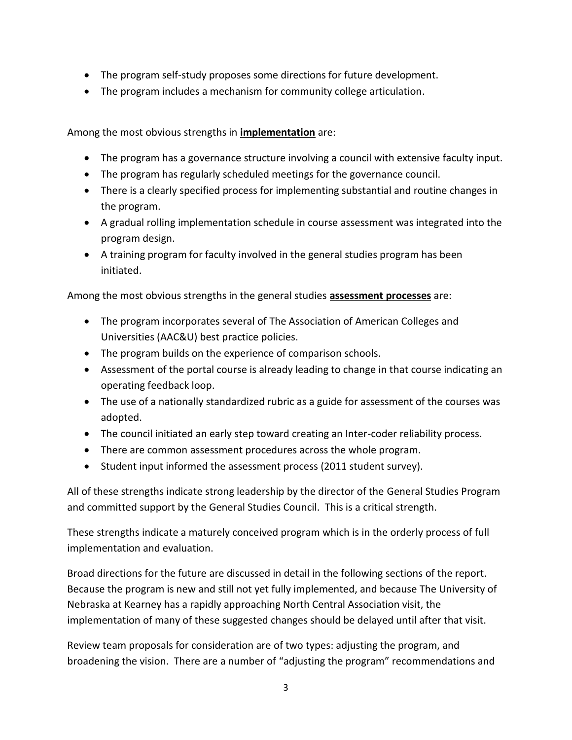- The program self-study proposes some directions for future development.
- The program includes a mechanism for community college articulation.

Among the most obvious strengths in **implementation** are:

- The program has a governance structure involving a council with extensive faculty input.
- The program has regularly scheduled meetings for the governance council.
- There is a clearly specified process for implementing substantial and routine changes in the program.
- A gradual rolling implementation schedule in course assessment was integrated into the program design.
- A training program for faculty involved in the general studies program has been initiated.

Among the most obvious strengths in the general studies **assessment processes** are:

- The program incorporates several of The Association of American Colleges and Universities (AAC&U) best practice policies.
- The program builds on the experience of comparison schools.
- Assessment of the portal course is already leading to change in that course indicating an operating feedback loop.
- The use of a nationally standardized rubric as a guide for assessment of the courses was adopted.
- The council initiated an early step toward creating an Inter-coder reliability process.
- There are common assessment procedures across the whole program.
- Student input informed the assessment process (2011 student survey).

All of these strengths indicate strong leadership by the director of the General Studies Program and committed support by the General Studies Council. This is a critical strength.

These strengths indicate a maturely conceived program which is in the orderly process of full implementation and evaluation.

Broad directions for the future are discussed in detail in the following sections of the report. Because the program is new and still not yet fully implemented, and because The University of Nebraska at Kearney has a rapidly approaching North Central Association visit, the implementation of many of these suggested changes should be delayed until after that visit.

Review team proposals for consideration are of two types: adjusting the program, and broadening the vision. There are a number of "adjusting the program" recommendations and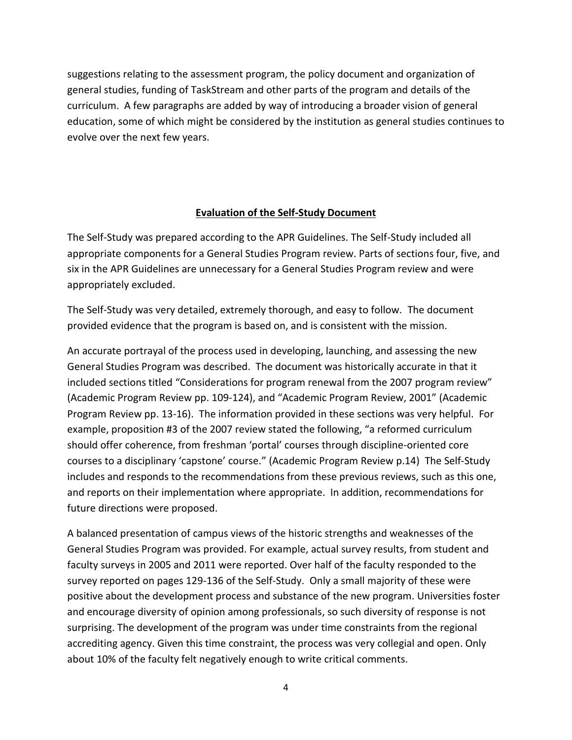suggestions relating to the assessment program, the policy document and organization of general studies, funding of TaskStream and other parts of the program and details of the curriculum. A few paragraphs are added by way of introducing a broader vision of general education, some of which might be considered by the institution as general studies continues to evolve over the next few years.

#### **Evaluation of the Self-Study Document**

The Self-Study was prepared according to the APR Guidelines. The Self-Study included all appropriate components for a General Studies Program review. Parts of sections four, five, and six in the APR Guidelines are unnecessary for a General Studies Program review and were appropriately excluded.

The Self-Study was very detailed, extremely thorough, and easy to follow. The document provided evidence that the program is based on, and is consistent with the mission.

An accurate portrayal of the process used in developing, launching, and assessing the new General Studies Program was described. The document was historically accurate in that it included sections titled "Considerations for program renewal from the 2007 program review" (Academic Program Review pp. 109-124), and "Academic Program Review, 2001" (Academic Program Review pp. 13-16). The information provided in these sections was very helpful. For example, proposition #3 of the 2007 review stated the following, "a reformed curriculum should offer coherence, from freshman 'portal' courses through discipline-oriented core courses to a disciplinary 'capstone' course." (Academic Program Review p.14) The Self-Study includes and responds to the recommendations from these previous reviews, such as this one, and reports on their implementation where appropriate. In addition, recommendations for future directions were proposed.

A balanced presentation of campus views of the historic strengths and weaknesses of the General Studies Program was provided. For example, actual survey results, from student and faculty surveys in 2005 and 2011 were reported. Over half of the faculty responded to the survey reported on pages 129-136 of the Self-Study. Only a small majority of these were positive about the development process and substance of the new program. Universities foster and encourage diversity of opinion among professionals, so such diversity of response is not surprising. The development of the program was under time constraints from the regional accrediting agency. Given this time constraint, the process was very collegial and open. Only about 10% of the faculty felt negatively enough to write critical comments.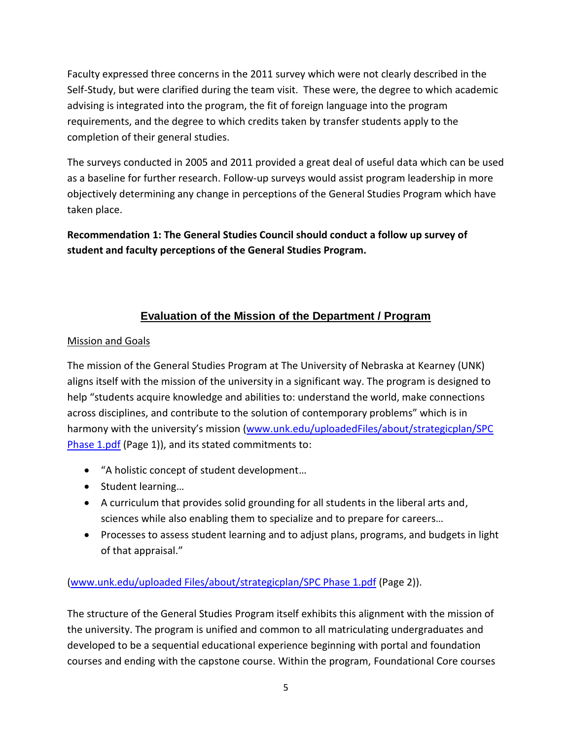Faculty expressed three concerns in the 2011 survey which were not clearly described in the Self-Study, but were clarified during the team visit. These were, the degree to which academic advising is integrated into the program, the fit of foreign language into the program requirements, and the degree to which credits taken by transfer students apply to the completion of their general studies.

The surveys conducted in 2005 and 2011 provided a great deal of useful data which can be used as a baseline for further research. Follow-up surveys would assist program leadership in more objectively determining any change in perceptions of the General Studies Program which have taken place.

**Recommendation 1: The General Studies Council should conduct a follow up survey of student and faculty perceptions of the General Studies Program.** 

## **Evaluation of the Mission of the Department / Program**

#### Mission and Goals

The mission of the General Studies Program at The University of Nebraska at Kearney (UNK) aligns itself with the mission of the university in a significant way. The program is designed to help "students acquire knowledge and abilities to: understand the world, make connections across disciplines, and contribute to the solution of contemporary problems" which is in harmony with the university's mission (www.unk.edu/uploadedFiles/about/strategicplan/SPC [Phase 1.pdf](http://www.unk.edu/uploadedFiles/about/strategicplan/SPC%20Phase%201.pdf) (Page 1)), and its stated commitments to:

- "A holistic concept of student development…
- Student learning...
- A curriculum that provides solid grounding for all students in the liberal arts and, sciences while also enabling them to specialize and to prepare for careers…
- Processes to assess student learning and to adjust plans, programs, and budgets in light of that appraisal."

[\(www.unk.edu/uploaded Files/about/strategicplan/SPC Phase 1.pdf](http://www.unk.edu/uploaded%20Files/about/strategicplan/SPC%20Phase%201.pdf) (Page 2)).

The structure of the General Studies Program itself exhibits this alignment with the mission of the university. The program is unified and common to all matriculating undergraduates and developed to be a sequential educational experience beginning with portal and foundation courses and ending with the capstone course. Within the program, Foundational Core courses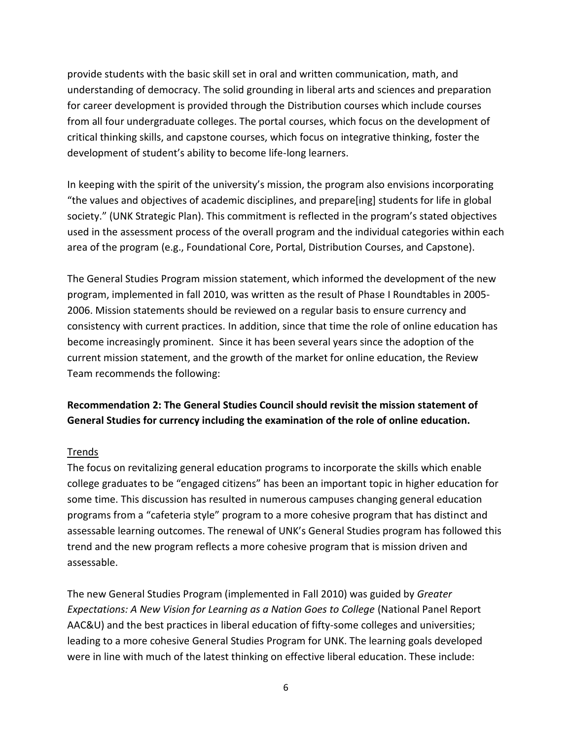provide students with the basic skill set in oral and written communication, math, and understanding of democracy. The solid grounding in liberal arts and sciences and preparation for career development is provided through the Distribution courses which include courses from all four undergraduate colleges. The portal courses, which focus on the development of critical thinking skills, and capstone courses, which focus on integrative thinking, foster the development of student's ability to become life-long learners.

In keeping with the spirit of the university's mission, the program also envisions incorporating "the values and objectives of academic disciplines, and prepare[ing] students for life in global society." (UNK Strategic Plan). This commitment is reflected in the program's stated objectives used in the assessment process of the overall program and the individual categories within each area of the program (e.g., Foundational Core, Portal, Distribution Courses, and Capstone).

The General Studies Program mission statement, which informed the development of the new program, implemented in fall 2010, was written as the result of Phase I Roundtables in 2005- 2006. Mission statements should be reviewed on a regular basis to ensure currency and consistency with current practices. In addition, since that time the role of online education has become increasingly prominent. Since it has been several years since the adoption of the current mission statement, and the growth of the market for online education, the Review Team recommends the following:

## **Recommendation 2: The General Studies Council should revisit the mission statement of General Studies for currency including the examination of the role of online education.**

#### Trends

The focus on revitalizing general education programs to incorporate the skills which enable college graduates to be "engaged citizens" has been an important topic in higher education for some time. This discussion has resulted in numerous campuses changing general education programs from a "cafeteria style" program to a more cohesive program that has distinct and assessable learning outcomes. The renewal of UNK's General Studies program has followed this trend and the new program reflects a more cohesive program that is mission driven and assessable.

The new General Studies Program (implemented in Fall 2010) was guided by *Greater Expectations: A New Vision for Learning as a Nation Goes to College* (National Panel Report AAC&U) and the best practices in liberal education of fifty-some colleges and universities; leading to a more cohesive General Studies Program for UNK. The learning goals developed were in line with much of the latest thinking on effective liberal education. These include: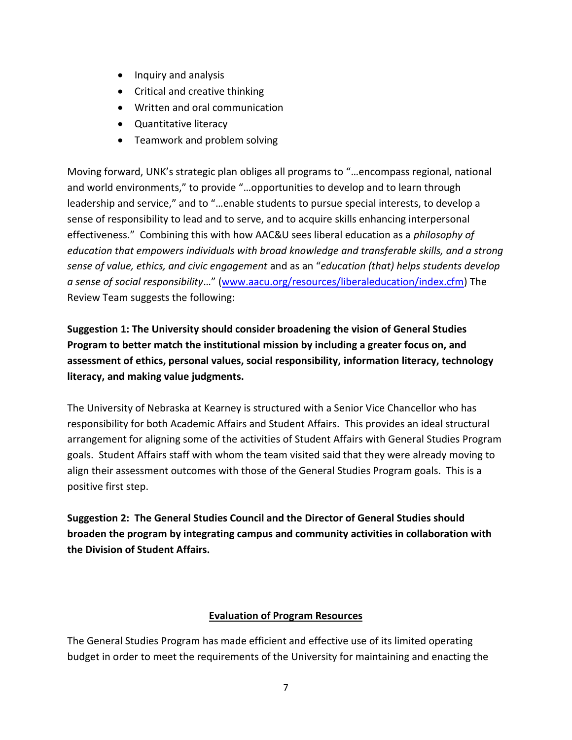- Inquiry and analysis
- Critical and creative thinking
- Written and oral communication
- Quantitative literacy
- Teamwork and problem solving

Moving forward, UNK's strategic plan obliges all programs to "…encompass regional, national and world environments," to provide "…opportunities to develop and to learn through leadership and service," and to "…enable students to pursue special interests, to develop a sense of responsibility to lead and to serve, and to acquire skills enhancing interpersonal effectiveness." Combining this with how AAC&U sees liberal education as a *philosophy of education that empowers individuals with broad knowledge and transferable skills, and a strong sense of value, ethics, and civic engagement* and as an "*education (that) helps students develop a sense of social responsibility*…" [\(www.aacu.org/resources/liberaleducation/index.cfm\)](http://www.aacu.org/resources/liberaleducation/index.cfm) The Review Team suggests the following:

**Suggestion 1: The University should consider broadening the vision of General Studies Program to better match the institutional mission by including a greater focus on, and assessment of ethics, personal values, social responsibility, information literacy, technology literacy, and making value judgments.** 

The University of Nebraska at Kearney is structured with a Senior Vice Chancellor who has responsibility for both Academic Affairs and Student Affairs. This provides an ideal structural arrangement for aligning some of the activities of Student Affairs with General Studies Program goals. Student Affairs staff with whom the team visited said that they were already moving to align their assessment outcomes with those of the General Studies Program goals. This is a positive first step.

**Suggestion 2: The General Studies Council and the Director of General Studies should broaden the program by integrating campus and community activities in collaboration with the Division of Student Affairs.** 

#### **Evaluation of Program Resources**

The General Studies Program has made efficient and effective use of its limited operating budget in order to meet the requirements of the University for maintaining and enacting the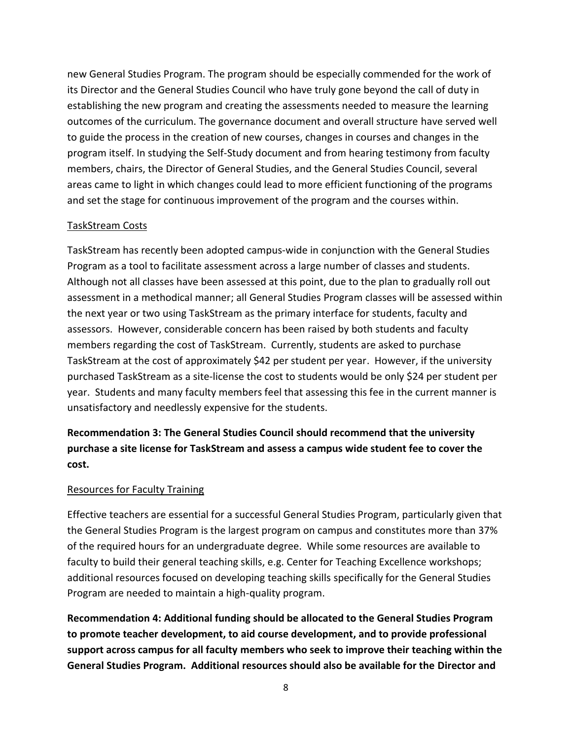new General Studies Program. The program should be especially commended for the work of its Director and the General Studies Council who have truly gone beyond the call of duty in establishing the new program and creating the assessments needed to measure the learning outcomes of the curriculum. The governance document and overall structure have served well to guide the process in the creation of new courses, changes in courses and changes in the program itself. In studying the Self-Study document and from hearing testimony from faculty members, chairs, the Director of General Studies, and the General Studies Council, several areas came to light in which changes could lead to more efficient functioning of the programs and set the stage for continuous improvement of the program and the courses within.

#### TaskStream Costs

TaskStream has recently been adopted campus-wide in conjunction with the General Studies Program as a tool to facilitate assessment across a large number of classes and students. Although not all classes have been assessed at this point, due to the plan to gradually roll out assessment in a methodical manner; all General Studies Program classes will be assessed within the next year or two using TaskStream as the primary interface for students, faculty and assessors. However, considerable concern has been raised by both students and faculty members regarding the cost of TaskStream. Currently, students are asked to purchase TaskStream at the cost of approximately \$42 per student per year. However, if the university purchased TaskStream as a site-license the cost to students would be only \$24 per student per year. Students and many faculty members feel that assessing this fee in the current manner is unsatisfactory and needlessly expensive for the students.

**Recommendation 3: The General Studies Council should recommend that the university purchase a site license for TaskStream and assess a campus wide student fee to cover the cost.**

#### Resources for Faculty Training

Effective teachers are essential for a successful General Studies Program, particularly given that the General Studies Program is the largest program on campus and constitutes more than 37% of the required hours for an undergraduate degree. While some resources are available to faculty to build their general teaching skills, e.g. Center for Teaching Excellence workshops; additional resources focused on developing teaching skills specifically for the General Studies Program are needed to maintain a high-quality program.

**Recommendation 4: Additional funding should be allocated to the General Studies Program to promote teacher development, to aid course development, and to provide professional support across campus for all faculty members who seek to improve their teaching within the General Studies Program. Additional resources should also be available for the Director and**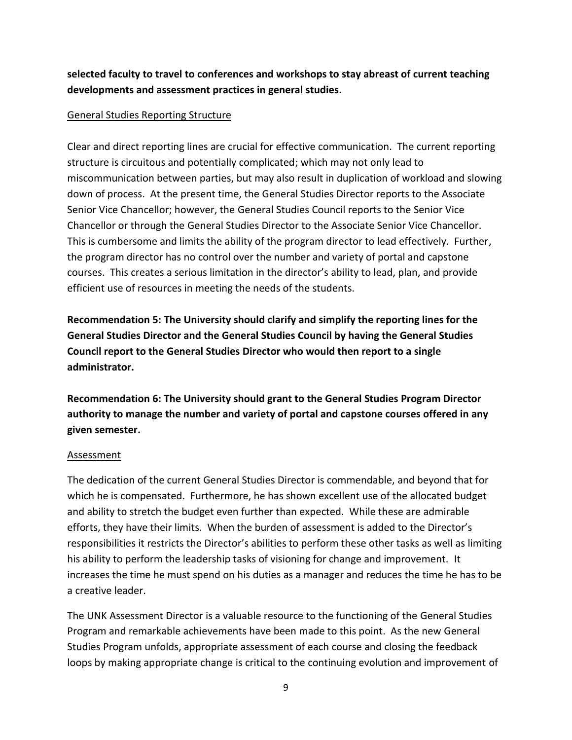## **selected faculty to travel to conferences and workshops to stay abreast of current teaching developments and assessment practices in general studies.**

#### General Studies Reporting Structure

Clear and direct reporting lines are crucial for effective communication. The current reporting structure is circuitous and potentially complicated; which may not only lead to miscommunication between parties, but may also result in duplication of workload and slowing down of process. At the present time, the General Studies Director reports to the Associate Senior Vice Chancellor; however, the General Studies Council reports to the Senior Vice Chancellor or through the General Studies Director to the Associate Senior Vice Chancellor. This is cumbersome and limits the ability of the program director to lead effectively. Further, the program director has no control over the number and variety of portal and capstone courses. This creates a serious limitation in the director's ability to lead, plan, and provide efficient use of resources in meeting the needs of the students.

**Recommendation 5: The University should clarify and simplify the reporting lines for the General Studies Director and the General Studies Council by having the General Studies Council report to the General Studies Director who would then report to a single administrator.**

**Recommendation 6: The University should grant to the General Studies Program Director authority to manage the number and variety of portal and capstone courses offered in any given semester.**

#### Assessment

The dedication of the current General Studies Director is commendable, and beyond that for which he is compensated. Furthermore, he has shown excellent use of the allocated budget and ability to stretch the budget even further than expected. While these are admirable efforts, they have their limits. When the burden of assessment is added to the Director's responsibilities it restricts the Director's abilities to perform these other tasks as well as limiting his ability to perform the leadership tasks of visioning for change and improvement. It increases the time he must spend on his duties as a manager and reduces the time he has to be a creative leader.

The UNK Assessment Director is a valuable resource to the functioning of the General Studies Program and remarkable achievements have been made to this point. As the new General Studies Program unfolds, appropriate assessment of each course and closing the feedback loops by making appropriate change is critical to the continuing evolution and improvement of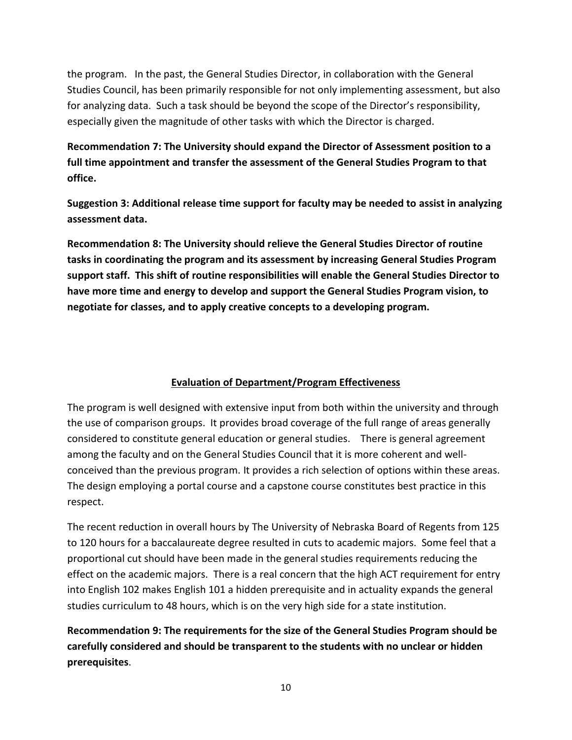the program. In the past, the General Studies Director, in collaboration with the General Studies Council, has been primarily responsible for not only implementing assessment, but also for analyzing data. Such a task should be beyond the scope of the Director's responsibility, especially given the magnitude of other tasks with which the Director is charged.

**Recommendation 7: The University should expand the Director of Assessment position to a full time appointment and transfer the assessment of the General Studies Program to that office.**

**Suggestion 3: Additional release time support for faculty may be needed to assist in analyzing assessment data.**

**Recommendation 8: The University should relieve the General Studies Director of routine tasks in coordinating the program and its assessment by increasing General Studies Program support staff. This shift of routine responsibilities will enable the General Studies Director to have more time and energy to develop and support the General Studies Program vision, to negotiate for classes, and to apply creative concepts to a developing program.**

### **Evaluation of Department/Program Effectiveness**

The program is well designed with extensive input from both within the university and through the use of comparison groups. It provides broad coverage of the full range of areas generally considered to constitute general education or general studies. There is general agreement among the faculty and on the General Studies Council that it is more coherent and wellconceived than the previous program. It provides a rich selection of options within these areas. The design employing a portal course and a capstone course constitutes best practice in this respect.

The recent reduction in overall hours by The University of Nebraska Board of Regents from 125 to 120 hours for a baccalaureate degree resulted in cuts to academic majors. Some feel that a proportional cut should have been made in the general studies requirements reducing the effect on the academic majors. There is a real concern that the high ACT requirement for entry into English 102 makes English 101 a hidden prerequisite and in actuality expands the general studies curriculum to 48 hours, which is on the very high side for a state institution.

**Recommendation 9: The requirements for the size of the General Studies Program should be carefully considered and should be transparent to the students with no unclear or hidden prerequisites**.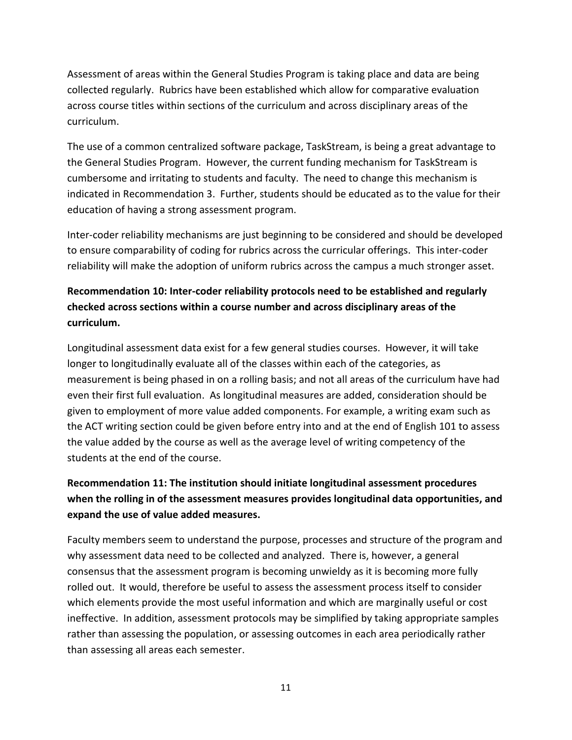Assessment of areas within the General Studies Program is taking place and data are being collected regularly. Rubrics have been established which allow for comparative evaluation across course titles within sections of the curriculum and across disciplinary areas of the curriculum.

The use of a common centralized software package, TaskStream, is being a great advantage to the General Studies Program. However, the current funding mechanism for TaskStream is cumbersome and irritating to students and faculty. The need to change this mechanism is indicated in Recommendation 3. Further, students should be educated as to the value for their education of having a strong assessment program.

Inter-coder reliability mechanisms are just beginning to be considered and should be developed to ensure comparability of coding for rubrics across the curricular offerings. This inter-coder reliability will make the adoption of uniform rubrics across the campus a much stronger asset.

## **Recommendation 10: Inter-coder reliability protocols need to be established and regularly checked across sections within a course number and across disciplinary areas of the curriculum.**

Longitudinal assessment data exist for a few general studies courses. However, it will take longer to longitudinally evaluate all of the classes within each of the categories, as measurement is being phased in on a rolling basis; and not all areas of the curriculum have had even their first full evaluation. As longitudinal measures are added, consideration should be given to employment of more value added components. For example, a writing exam such as the ACT writing section could be given before entry into and at the end of English 101 to assess the value added by the course as well as the average level of writing competency of the students at the end of the course.

## **Recommendation 11: The institution should initiate longitudinal assessment procedures when the rolling in of the assessment measures provides longitudinal data opportunities, and expand the use of value added measures.**

Faculty members seem to understand the purpose, processes and structure of the program and why assessment data need to be collected and analyzed. There is, however, a general consensus that the assessment program is becoming unwieldy as it is becoming more fully rolled out. It would, therefore be useful to assess the assessment process itself to consider which elements provide the most useful information and which are marginally useful or cost ineffective. In addition, assessment protocols may be simplified by taking appropriate samples rather than assessing the population, or assessing outcomes in each area periodically rather than assessing all areas each semester.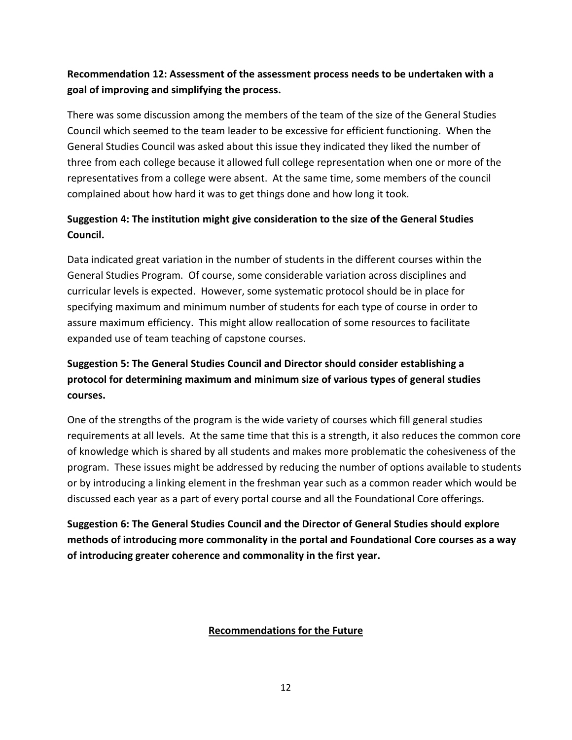## **Recommendation 12: Assessment of the assessment process needs to be undertaken with a goal of improving and simplifying the process.**

There was some discussion among the members of the team of the size of the General Studies Council which seemed to the team leader to be excessive for efficient functioning. When the General Studies Council was asked about this issue they indicated they liked the number of three from each college because it allowed full college representation when one or more of the representatives from a college were absent. At the same time, some members of the council complained about how hard it was to get things done and how long it took.

## **Suggestion 4: The institution might give consideration to the size of the General Studies Council.**

Data indicated great variation in the number of students in the different courses within the General Studies Program. Of course, some considerable variation across disciplines and curricular levels is expected. However, some systematic protocol should be in place for specifying maximum and minimum number of students for each type of course in order to assure maximum efficiency. This might allow reallocation of some resources to facilitate expanded use of team teaching of capstone courses.

## **Suggestion 5: The General Studies Council and Director should consider establishing a protocol for determining maximum and minimum size of various types of general studies courses.**

One of the strengths of the program is the wide variety of courses which fill general studies requirements at all levels. At the same time that this is a strength, it also reduces the common core of knowledge which is shared by all students and makes more problematic the cohesiveness of the program. These issues might be addressed by reducing the number of options available to students or by introducing a linking element in the freshman year such as a common reader which would be discussed each year as a part of every portal course and all the Foundational Core offerings.

**Suggestion 6: The General Studies Council and the Director of General Studies should explore methods of introducing more commonality in the portal and Foundational Core courses as a way of introducing greater coherence and commonality in the first year.** 

#### **Recommendations for the Future**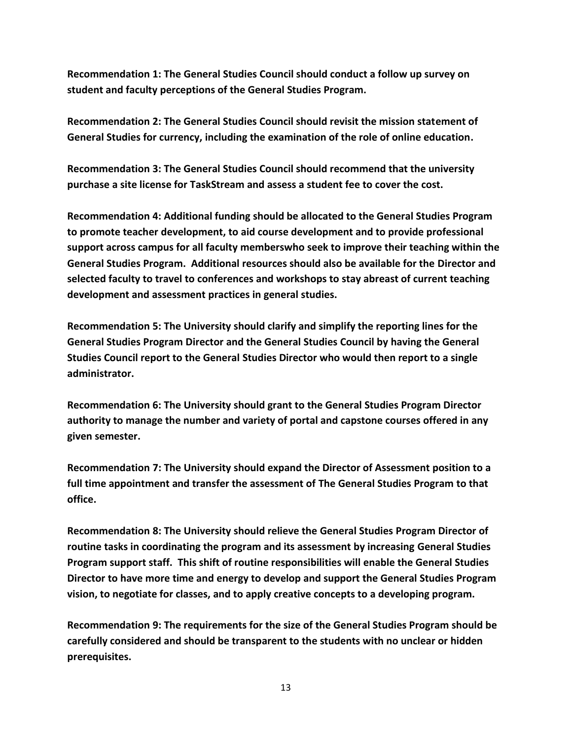**Recommendation 1: The General Studies Council should conduct a follow up survey on student and faculty perceptions of the General Studies Program.**

**Recommendation 2: The General Studies Council should revisit the mission statement of General Studies for currency, including the examination of the role of online education.**

**Recommendation 3: The General Studies Council should recommend that the university purchase a site license for TaskStream and assess a student fee to cover the cost.**

**Recommendation 4: Additional funding should be allocated to the General Studies Program to promote teacher development, to aid course development and to provide professional support across campus for all faculty memberswho seek to improve their teaching within the General Studies Program. Additional resources should also be available for the Director and selected faculty to travel to conferences and workshops to stay abreast of current teaching development and assessment practices in general studies.**

**Recommendation 5: The University should clarify and simplify the reporting lines for the General Studies Program Director and the General Studies Council by having the General Studies Council report to the General Studies Director who would then report to a single administrator.**

**Recommendation 6: The University should grant to the General Studies Program Director authority to manage the number and variety of portal and capstone courses offered in any given semester.**

**Recommendation 7: The University should expand the Director of Assessment position to a full time appointment and transfer the assessment of The General Studies Program to that office.**

**Recommendation 8: The University should relieve the General Studies Program Director of routine tasks in coordinating the program and its assessment by increasing General Studies Program support staff. This shift of routine responsibilities will enable the General Studies Director to have more time and energy to develop and support the General Studies Program vision, to negotiate for classes, and to apply creative concepts to a developing program.**

**Recommendation 9: The requirements for the size of the General Studies Program should be carefully considered and should be transparent to the students with no unclear or hidden prerequisites.**

13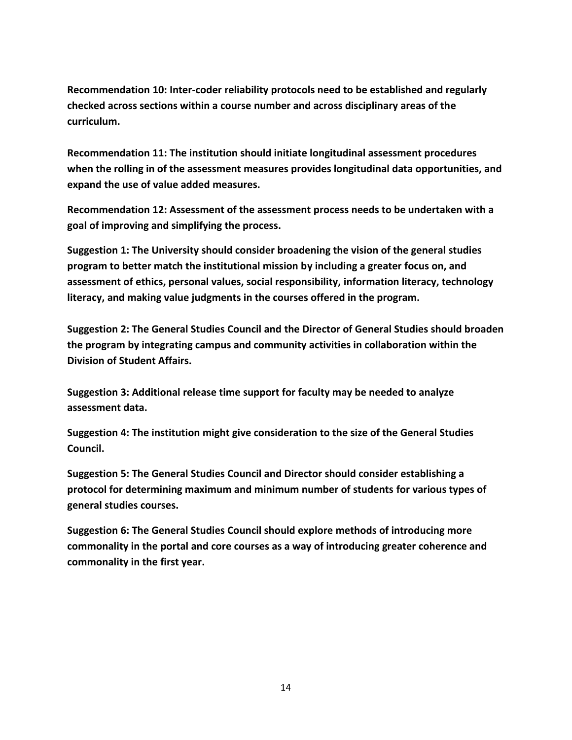**Recommendation 10: Inter-coder reliability protocols need to be established and regularly checked across sections within a course number and across disciplinary areas of the curriculum.**

**Recommendation 11: The institution should initiate longitudinal assessment procedures when the rolling in of the assessment measures provides longitudinal data opportunities, and expand the use of value added measures.**

**Recommendation 12: Assessment of the assessment process needs to be undertaken with a goal of improving and simplifying the process.**

**Suggestion 1: The University should consider broadening the vision of the general studies program to better match the institutional mission by including a greater focus on, and assessment of ethics, personal values, social responsibility, information literacy, technology literacy, and making value judgments in the courses offered in the program.** 

**Suggestion 2: The General Studies Council and the Director of General Studies should broaden the program by integrating campus and community activities in collaboration within the Division of Student Affairs.**

**Suggestion 3: Additional release time support for faculty may be needed to analyze assessment data.**

**Suggestion 4: The institution might give consideration to the size of the General Studies Council.**

**Suggestion 5: The General Studies Council and Director should consider establishing a protocol for determining maximum and minimum number of students for various types of general studies courses.**

**Suggestion 6: The General Studies Council should explore methods of introducing more commonality in the portal and core courses as a way of introducing greater coherence and commonality in the first year.**